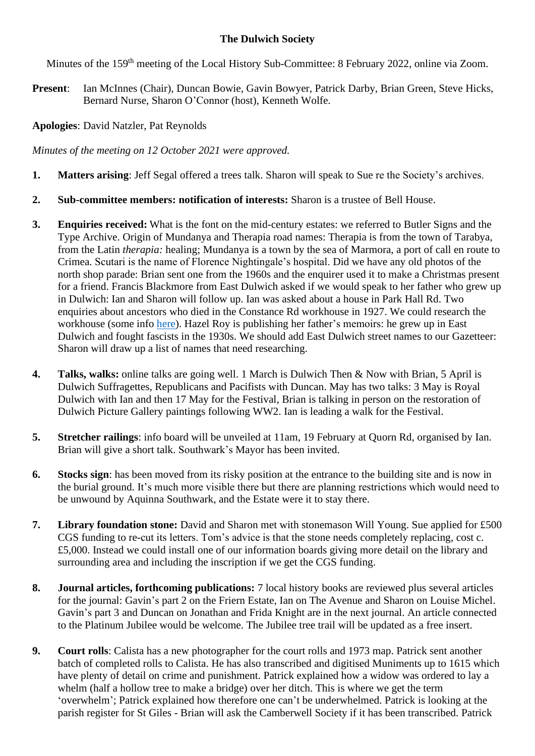## **The Dulwich Society**

Minutes of the 159<sup>th</sup> meeting of the Local History Sub-Committee: 8 February 2022, online via Zoom.

**Present**: Ian McInnes (Chair), Duncan Bowie, Gavin Bowyer, Patrick Darby, Brian Green, Steve Hicks, Bernard Nurse, Sharon O'Connor (host), Kenneth Wolfe.

**Apologies**: David Natzler, Pat Reynolds

*Minutes of the meeting on 12 October 2021 were approved.*

- **1. Matters arising**: Jeff Segal offered a trees talk. Sharon will speak to Sue re the Society's archives.
- **2. Sub-committee members: notification of interests:** Sharon is a trustee of Bell House.
- **3. Enquiries received:** What is the font on the mid-century estates: we referred to Butler Signs and the Type Archive. Origin of Mundanya and Therapia road names: Therapia is from the town of Tarabya, from the Latin *therapia:* healing; Mundanya is a town by the sea of Marmora, a port of call en route to Crimea. Scutari is the name of Florence Nightingale's hospital. Did we have any old photos of the north shop parade: Brian sent one from the 1960s and the enquirer used it to make a Christmas present for a friend. Francis Blackmore from East Dulwich asked if we would speak to her father who grew up in Dulwich: Ian and Sharon will follow up. Ian was asked about a house in Park Hall Rd. Two enquiries about ancestors who died in the Constance Rd workhouse in 1927. We could research the workhouse (some info [here\)](https://www.workhouses.org.uk/Camberwell/). Hazel Roy is publishing her father's memoirs: he grew up in East Dulwich and fought fascists in the 1930s. We should add East Dulwich street names to our Gazetteer: Sharon will draw up a list of names that need researching.
- **4. Talks, walks:** online talks are going well. 1 March is Dulwich Then & Now with Brian, 5 April is Dulwich Suffragettes, Republicans and Pacifists with Duncan. May has two talks: 3 May is Royal Dulwich with Ian and then 17 May for the Festival, Brian is talking in person on the restoration of Dulwich Picture Gallery paintings following WW2. Ian is leading a walk for the Festival.
- **5. Stretcher railings**: info board will be unveiled at 11am, 19 February at Quorn Rd, organised by Ian. Brian will give a short talk. Southwark's Mayor has been invited.
- **6. Stocks sign**: has been moved from its risky position at the entrance to the building site and is now in the burial ground. It's much more visible there but there are planning restrictions which would need to be unwound by Aquinna Southwark, and the Estate were it to stay there.
- **7. Library foundation stone:** David and Sharon met with stonemason Will Young. Sue applied for £500 CGS funding to re-cut its letters. Tom's advice is that the stone needs completely replacing, cost c. £5,000. Instead we could install one of our information boards giving more detail on the library and surrounding area and including the inscription if we get the CGS funding.
- **8. Journal articles, forthcoming publications:** 7 local history books are reviewed plus several articles for the journal: Gavin's part 2 on the Friern Estate, Ian on The Avenue and Sharon on Louise Michel. Gavin's part 3 and Duncan on Jonathan and Frida Knight are in the next journal. An article connected to the Platinum Jubilee would be welcome. The Jubilee tree trail will be updated as a free insert.
- **9. Court rolls**: Calista has a new photographer for the court rolls and 1973 map. Patrick sent another batch of completed rolls to Calista. He has also transcribed and digitised Muniments up to 1615 which have plenty of detail on crime and punishment. Patrick explained how a widow was ordered to lay a whelm (half a hollow tree to make a bridge) over her ditch. This is where we get the term 'overwhelm'; Patrick explained how therefore one can't be underwhelmed. Patrick is looking at the parish register for St Giles - Brian will ask the Camberwell Society if it has been transcribed. Patrick